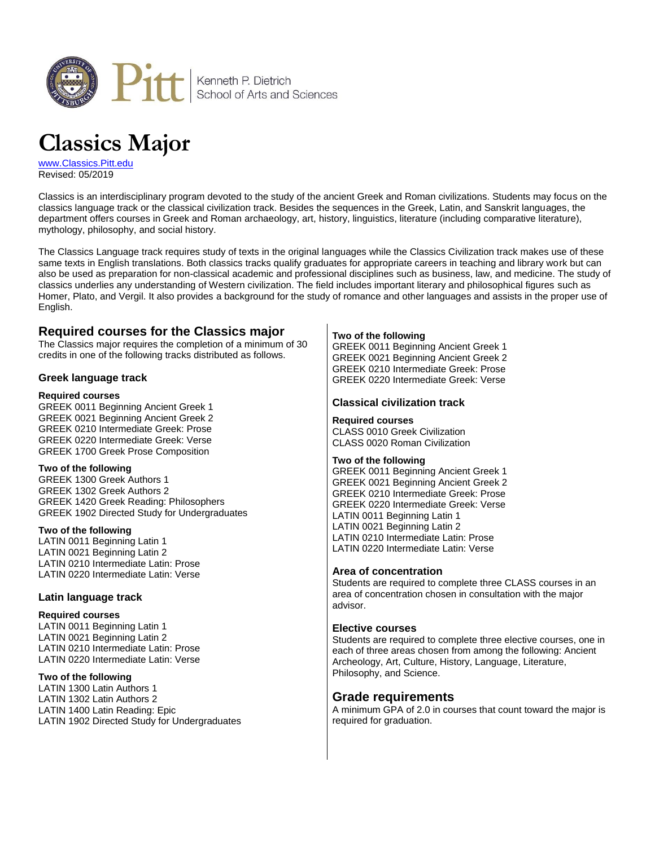

# **Classics Major**

[www.Classics.Pitt.edu](http://www.classics.pitt.edu/) Revised: 05/2019

Classics is an interdisciplinary program devoted to the study of the ancient Greek and Roman civilizations. Students may focus on the classics language track or the classical civilization track. Besides the sequences in the Greek, Latin, and Sanskrit languages, the department offers courses in Greek and Roman archaeology, art, history, linguistics, literature (including comparative literature), mythology, philosophy, and social history.

The Classics Language track requires study of texts in the original languages while the Classics Civilization track makes use of these same texts in English translations. Both classics tracks qualify graduates for appropriate careers in teaching and library work but can also be used as preparation for non-classical academic and professional disciplines such as business, law, and medicine. The study of classics underlies any understanding of Western civilization. The field includes important literary and philosophical figures such as Homer, Plato, and Vergil. It also provides a background for the study of romance and other languages and assists in the proper use of English.

# **Required courses for the Classics major**

The Classics major requires the completion of a minimum of 30 credits in one of the following tracks distributed as follows.

### **Greek language track**

### **Required courses**

GREEK 0011 Beginning Ancient Greek 1 GREEK 0021 Beginning Ancient Greek 2 GREEK 0210 Intermediate Greek: Prose GREEK 0220 Intermediate Greek: Verse GREEK 1700 Greek Prose Composition

### **Two of the following**

GREEK 1300 Greek Authors 1 GREEK 1302 Greek Authors 2 GREEK 1420 Greek Reading: Philosophers GREEK 1902 Directed Study for Undergraduates

### **Two of the following**

LATIN 0011 Beginning Latin 1 LATIN 0021 Beginning Latin 2 LATIN 0210 Intermediate Latin: Prose LATIN 0220 Intermediate Latin: Verse

### **Latin language track**

### **Required courses**

LATIN 0011 Beginning Latin 1 LATIN 0021 Beginning Latin 2 LATIN 0210 Intermediate Latin: Prose LATIN 0220 Intermediate Latin: Verse

### **Two of the following**

LATIN 1300 Latin Authors 1 LATIN 1302 Latin Authors 2 LATIN 1400 Latin Reading: Epic LATIN 1902 Directed Study for Undergraduates

### **Two of the following**

GREEK 0011 Beginning Ancient Greek 1 GREEK 0021 Beginning Ancient Greek 2 GREEK 0210 Intermediate Greek: Prose GREEK 0220 Intermediate Greek: Verse

### **Classical civilization track**

### **Required courses**

CLASS 0010 Greek Civilization CLASS 0020 Roman Civilization

### **Two of the following**

GREEK 0011 Beginning Ancient Greek 1 GREEK 0021 Beginning Ancient Greek 2 GREEK 0210 Intermediate Greek: Prose GREEK 0220 Intermediate Greek: Verse LATIN 0011 Beginning Latin 1 LATIN 0021 Beginning Latin 2 LATIN 0210 Intermediate Latin: Prose LATIN 0220 Intermediate Latin: Verse

### **Area of concentration**

Students are required to complete three CLASS courses in an area of concentration chosen in consultation with the major advisor.

### **Elective courses**

Students are required to complete three elective courses, one in each of three areas chosen from among the following: Ancient Archeology, Art, Culture, History, Language, Literature, Philosophy, and Science.

## **Grade requirements**

A minimum GPA of 2.0 in courses that count toward the major is required for graduation.